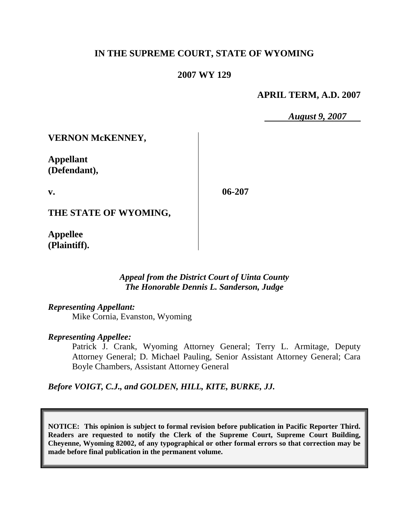# **IN THE SUPREME COURT, STATE OF WYOMING**

### **2007 WY 129**

### **APRIL TERM, A.D. 2007**

*August 9, 2007*

**VERNON McKENNEY,**

**Appellant (Defendant),**

**v.**

**06-207**

**THE STATE OF WYOMING,**

**Appellee (Plaintiff).**

> *Appeal from the District Court of Uinta County The Honorable Dennis L. Sanderson, Judge*

*Representing Appellant:* Mike Cornia, Evanston, Wyoming

*Representing Appellee:*

Patrick J. Crank, Wyoming Attorney General; Terry L. Armitage, Deputy Attorney General; D. Michael Pauling, Senior Assistant Attorney General; Cara Boyle Chambers, Assistant Attorney General

*Before VOIGT, C.J., and GOLDEN, HILL, KITE, BURKE, JJ.*

**NOTICE: This opinion is subject to formal revision before publication in Pacific Reporter Third. Readers are requested to notify the Clerk of the Supreme Court, Supreme Court Building, Cheyenne, Wyoming 82002, of any typographical or other formal errors so that correction may be made before final publication in the permanent volume.**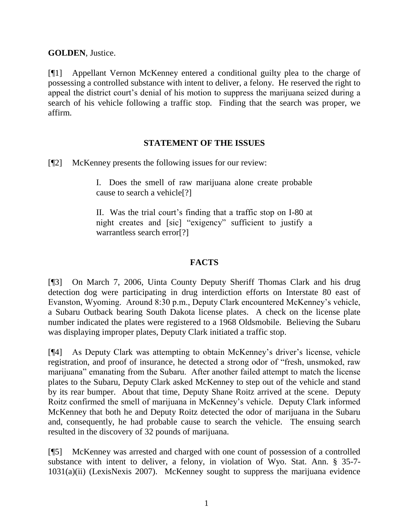**GOLDEN**, Justice.

[¶1] Appellant Vernon McKenney entered a conditional guilty plea to the charge of possessing a controlled substance with intent to deliver, a felony. He reserved the right to appeal the district court's denial of his motion to suppress the marijuana seized during a search of his vehicle following a traffic stop. Finding that the search was proper, we affirm.

# **STATEMENT OF THE ISSUES**

[¶2] McKenney presents the following issues for our review:

I. Does the smell of raw marijuana alone create probable cause to search a vehicle[?]

II. Was the trial court"s finding that a traffic stop on I-80 at night creates and [sic] "exigency" sufficient to justify a warrantless search error[?]

### **FACTS**

[¶3] On March 7, 2006, Uinta County Deputy Sheriff Thomas Clark and his drug detection dog were participating in drug interdiction efforts on Interstate 80 east of Evanston, Wyoming. Around 8:30 p.m., Deputy Clark encountered McKenney"s vehicle, a Subaru Outback bearing South Dakota license plates. A check on the license plate number indicated the plates were registered to a 1968 Oldsmobile. Believing the Subaru was displaying improper plates, Deputy Clark initiated a traffic stop.

[¶4] As Deputy Clark was attempting to obtain McKenney"s driver"s license, vehicle registration, and proof of insurance, he detected a strong odor of "fresh, unsmoked, raw marijuana" emanating from the Subaru. After another failed attempt to match the license plates to the Subaru, Deputy Clark asked McKenney to step out of the vehicle and stand by its rear bumper. About that time, Deputy Shane Roitz arrived at the scene. Deputy Roitz confirmed the smell of marijuana in McKenney"s vehicle. Deputy Clark informed McKenney that both he and Deputy Roitz detected the odor of marijuana in the Subaru and, consequently, he had probable cause to search the vehicle. The ensuing search resulted in the discovery of 32 pounds of marijuana.

[¶5] McKenney was arrested and charged with one count of possession of a controlled substance with intent to deliver, a felony, in violation of Wyo. Stat. Ann. § 35-7- 1031(a)(ii) (LexisNexis 2007). McKenney sought to suppress the marijuana evidence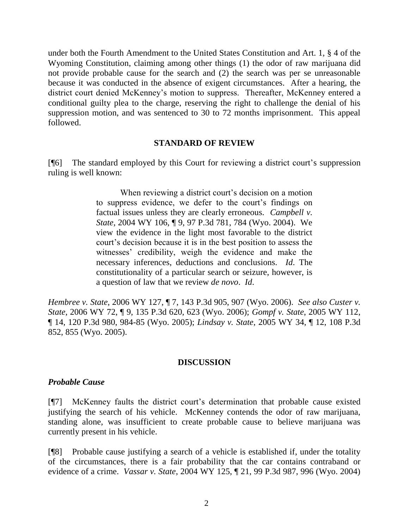under both the Fourth Amendment to the United States Constitution and Art. 1, § 4 of the Wyoming Constitution, claiming among other things (1) the odor of raw marijuana did not provide probable cause for the search and (2) the search was per se unreasonable because it was conducted in the absence of exigent circumstances. After a hearing, the district court denied McKenney"s motion to suppress. Thereafter, McKenney entered a conditional guilty plea to the charge, reserving the right to challenge the denial of his suppression motion, and was sentenced to 30 to 72 months imprisonment. This appeal followed.

#### **STANDARD OF REVIEW**

[¶6] The standard employed by this Court for reviewing a district court"s suppression ruling is well known:

> When reviewing a district court's decision on a motion to suppress evidence, we defer to the court"s findings on factual issues unless they are clearly erroneous. *Campbell v. State*, 2004 WY 106, ¶ 9, 97 P.3d 781, 784 (Wyo. 2004). We view the evidence in the light most favorable to the district court"s decision because it is in the best position to assess the witnesses' credibility, weigh the evidence and make the necessary inferences, deductions and conclusions. *Id*. The constitutionality of a particular search or seizure, however, is a question of law that we review *de novo*. *Id*.

*Hembree v. State*, 2006 WY 127, ¶ 7, 143 P.3d 905, 907 (Wyo. 2006). *See also Custer v. State*, 2006 WY 72, ¶ 9, 135 P.3d 620, 623 (Wyo. 2006); *Gompf v. State*, 2005 WY 112, ¶ 14, 120 P.3d 980, 984-85 (Wyo. 2005); *Lindsay v. State*, 2005 WY 34, ¶ 12, 108 P.3d 852, 855 (Wyo. 2005).

#### **DISCUSSION**

#### *Probable Cause*

[¶7] McKenney faults the district court"s determination that probable cause existed justifying the search of his vehicle. McKenney contends the odor of raw marijuana, standing alone, was insufficient to create probable cause to believe marijuana was currently present in his vehicle.

[¶8] Probable cause justifying a search of a vehicle is established if, under the totality of the circumstances, there is a fair probability that the car contains contraband or evidence of a crime. *Vassar v. State*, 2004 WY 125, ¶ 21, 99 P.3d 987, 996 (Wyo. 2004)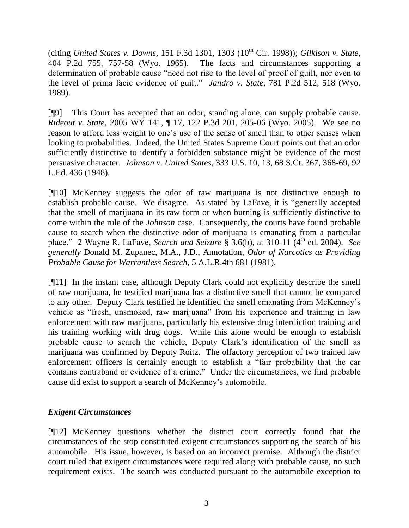(citing *United States v. Downs*, 151 F.3d 1301, 1303 (10<sup>th</sup> Cir. 1998)); *Gilkison v. State*, 404 P.2d 755, 757-58 (Wyo. 1965). The facts and circumstances supporting a determination of probable cause "need not rise to the level of proof of guilt, nor even to the level of prima facie evidence of guilt." *Jandro v. State*, 781 P.2d 512, 518 (Wyo. 1989).

[¶9] This Court has accepted that an odor, standing alone, can supply probable cause. *Rideout v. State*, 2005 WY 141, ¶ 17, 122 P.3d 201, 205-06 (Wyo. 2005). We see no reason to afford less weight to one"s use of the sense of smell than to other senses when looking to probabilities. Indeed, the United States Supreme Court points out that an odor sufficiently distinctive to identify a forbidden substance might be evidence of the most persuasive character. *Johnson v. United States*, 333 U.S. 10, 13, 68 S.Ct. 367, 368-69, 92 L.Ed. 436 (1948).

[¶10] McKenney suggests the odor of raw marijuana is not distinctive enough to establish probable cause. We disagree. As stated by LaFave, it is "generally accepted that the smell of marijuana in its raw form or when burning is sufficiently distinctive to come within the rule of the *Johnson* case. Consequently, the courts have found probable cause to search when the distinctive odor of marijuana is emanating from a particular place." 2 Wayne R. LaFave, *Search and Seizure* § 3.6(b), at 310-11 (4<sup>th</sup> ed. 2004). *See generally* Donald M. Zupanec, M.A., J.D., Annotation, *Odor of Narcotics as Providing Probable Cause for Warrantless Search*, 5 A.L.R.4th 681 (1981).

[¶11] In the instant case, although Deputy Clark could not explicitly describe the smell of raw marijuana, he testified marijuana has a distinctive smell that cannot be compared to any other. Deputy Clark testified he identified the smell emanating from McKenney"s vehicle as "fresh, unsmoked, raw marijuana" from his experience and training in law enforcement with raw marijuana, particularly his extensive drug interdiction training and his training working with drug dogs. While this alone would be enough to establish probable cause to search the vehicle, Deputy Clark"s identification of the smell as marijuana was confirmed by Deputy Roitz. The olfactory perception of two trained law enforcement officers is certainly enough to establish a "fair probability that the car contains contraband or evidence of a crime." Under the circumstances, we find probable cause did exist to support a search of McKenney"s automobile.

# *Exigent Circumstances*

[¶12] McKenney questions whether the district court correctly found that the circumstances of the stop constituted exigent circumstances supporting the search of his automobile. His issue, however, is based on an incorrect premise. Although the district court ruled that exigent circumstances were required along with probable cause, no such requirement exists. The search was conducted pursuant to the automobile exception to